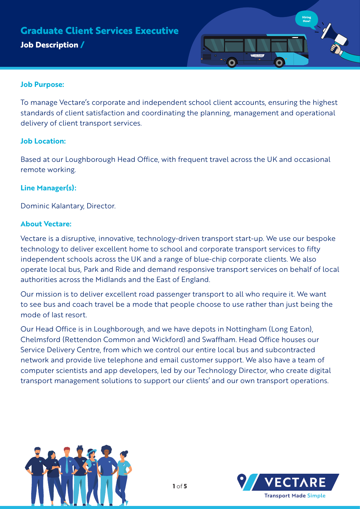# **Job Description / Graduate Client Services Executive**



## **Job Purpose:**

To manage Vectare's corporate and independent school client accounts, ensuring the highest standards of client satisfaction and coordinating the planning, management and operational delivery of client transport services.

## **Job Location:**

Based at our Loughborough Head Office, with frequent travel across the UK and occasional remote working.

# **Line Manager(s):**

Dominic Kalantary, Director.

## **About Vectare:**

Vectare is a disruptive, innovative, technology-driven transport start-up. We use our bespoke technology to deliver excellent home to school and corporate transport services to fifty independent schools across the UK and a range of blue-chip corporate clients. We also operate local bus, Park and Ride and demand responsive transport services on behalf of local authorities across the Midlands and the East of England.

Our mission is to deliver excellent road passenger transport to all who require it. We want to see bus and coach travel be a mode that people choose to use rather than just being the mode of last resort.

Our Head Office is in Loughborough, and we have depots in Nottingham (Long Eaton), Chelmsford (Rettendon Common and Wickford) and Swaffham. Head Office houses our Service Delivery Centre, from which we control our entire local bus and subcontracted network and provide live telephone and email customer support. We also have a team of computer scientists and app developers, led by our Technology Director, who create digital transport management solutions to support our clients' and our own transport operations.



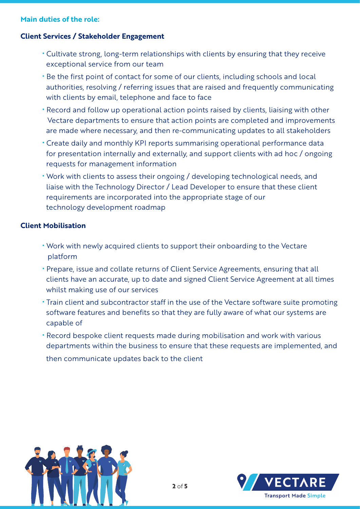#### **Main duties of the role:**

## **Client Services / Stakeholder Engagement**

- Cultivate strong, long-term relationships with clients by ensuring that they receive exceptional service from our team
- Be the first point of contact for some of our clients, including schools and local authorities, resolving / referring issues that are raised and frequently communicating with clients by email, telephone and face to face
- Record and follow up operational action points raised by clients, liaising with other Vectare departments to ensure that action points are completed and improvements are made where necessary, and then re-communicating updates to all stakeholders
- Create daily and monthly KPI reports summarising operational performance data for presentation internally and externally, and support clients with ad hoc / ongoing requests for management information
- Work with clients to assess their ongoing / developing technological needs, and liaise with the Technology Director / Lead Developer to ensure that these client requirements are incorporated into the appropriate stage of our technology development roadmap

#### **Client Mobilisation**

- Work with newly acquired clients to support their onboarding to the Vectare platform
- Prepare, issue and collate returns of Client Service Agreements, ensuring that all clients have an accurate, up to date and signed Client Service Agreement at all times whilst making use of our services
- Train client and subcontractor staff in the use of the Vectare software suite promoting software features and benefits so that they are fully aware of what our systems are capable of
- Record bespoke client requests made during mobilisation and work with various departments within the business to ensure that these requests are implemented, and then communicate updates back to the client



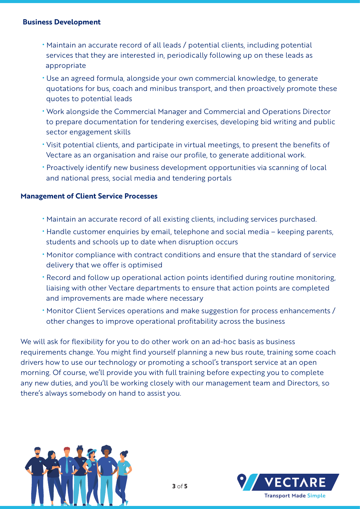#### **Business Development**

- Maintain an accurate record of all leads / potential clients, including potential services that they are interested in, periodically following up on these leads as appropriate
- Use an agreed formula, alongside your own commercial knowledge, to generate quotations for bus, coach and minibus transport, and then proactively promote these quotes to potential leads
- Work alongside the Commercial Manager and Commercial and Operations Director to prepare documentation for tendering exercises, developing bid writing and public sector engagement skills
- Visit potential clients, and participate in virtual meetings, to present the benefits of Vectare as an organisation and raise our profile, to generate additional work.
- Proactively identify new business development opportunities via scanning of local and national press, social media and tendering portals

## **Management of Client Service Processes**

- Maintain an accurate record of all existing clients, including services purchased.
- Handle customer enquiries by email, telephone and social media keeping parents, students and schools up to date when disruption occurs
- Monitor compliance with contract conditions and ensure that the standard of service delivery that we offer is optimised
- Record and follow up operational action points identified during routine monitoring, liaising with other Vectare departments to ensure that action points are completed and improvements are made where necessary
- Monitor Client Services operations and make suggestion for process enhancements / other changes to improve operational profitability across the business

We will ask for flexibility for you to do other work on an ad-hoc basis as business requirements change. You might find yourself planning a new bus route, training some coach drivers how to use our technology or promoting a school's transport service at an open morning. Of course, we'll provide you with full training before expecting you to complete any new duties, and you'll be working closely with our management team and Directors, so there's always somebody on hand to assist you.



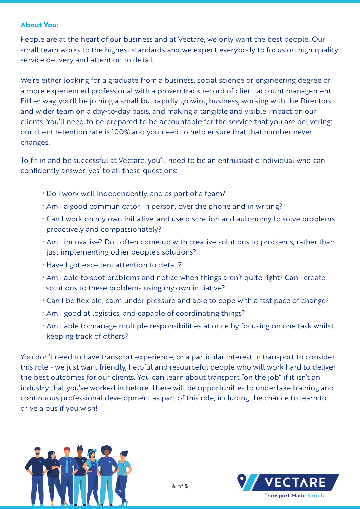## **About You:**

People are at the heart of our business and at Vectare, we only want the best people. Our small team works to the highest standards and we expect everybody to focus on high quality service delivery and attention to detail.

We're either looking for a graduate from a business, social science or engineering degree or a more experienced professional with a proven track record of client account management. Either way, you'll be joining a small but rapidly growing business, working with the Directors and wider team on a day-to-day basis, and making a tangible and visible impact on our clients. You'll need to be prepared to be accountable for the service that you are delivering; our client retention rate is 100% and you need to help ensure that that number never changes.

To fit in and be successful at Vectare, you'll need to be an enthusiastic individual who can confidently answer 'yes' to all these questions:

- Do I work well independently, and as part of a team?
- Am I a good communicator, in person, over the phone and in writing?
- Can I work on my own initiative, and use discretion and autonomy to solve problems proactively and compassionately?
- Am I innovative? Do I often come up with creative solutions to problems, rather than just implementing other people's solutions?
- Have I got excellent attention to detail?
- Am I able to spot problems and notice when things aren't quite right? Can I create solutions to these problems using my own initiative?
- Can I be flexible, calm under pressure and able to cope with a fast pace of change?
- Am I good at logistics, and capable of coordinating things?
- Am I able to manage multiple responsibilities at once by focusing on one task whilst keeping track of others?

You don't need to have transport experience, or a particular interest in transport to consider this role - we just want friendly, helpful and resourceful people who will work hard to deliver the best outcomes for our clients. You can learn about transport "on the job" if it isn't an industry that you've worked in before. There will be opportunities to undertake training and continuous professional development as part of this role, including the chance to learn to drive a bus if you wish!